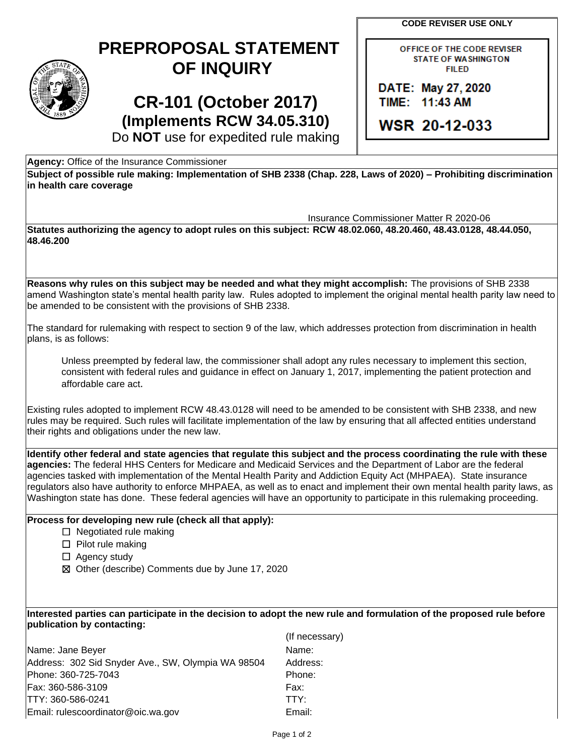**CODE REVISER USE ONLY** 

## **PREPROPOSAL STATEMENT OF INQUIRY**

# **CR-101 (October 2017) (Implements RCW 34.05.310)**

OFFICE OF THE CODE REVISER **STATE OF WASHINGTON FILED** 

DATE: May 27, 2020 TIME: 11:43 AM

**WSR 20-12-033** 

Do **NOT** use for expedited rule making

**Agency:** Office of the Insurance Commissioner

**Subject of possible rule making: Implementation of SHB 2338 (Chap. 228, Laws of 2020) – Prohibiting discrimination in health care coverage** 

Insurance Commissioner Matter R 2020-06

**Statutes authorizing the agency to adopt rules on this subject: RCW 48.02.060, 48.20.460, 48.43.0128, 48.44.050, 48.46.200** 

 **Reasons why rules on this subject may be needed and what they might accomplish:** The provisions of SHB 2338 amend Washington state's mental health parity law. Rules adopted to implement the original mental health parity law need to be amended to be consistent with the provisions of SHB 2338.

The standard for rulemaking with respect to section 9 of the law, which addresses protection from discrimination in health plans, is as follows:

 Unless preempted by federal law, the commissioner shall adopt any rules necessary to implement this section, consistent with federal rules and guidance in effect on January 1, 2017, implementing the patient protection and affordable care act.

 Existing rules adopted to implement RCW 48.43.0128 will need to be amended to be consistent with SHB 2338, and new their rights and obligations under the new law. rules may be required. Such rules will facilitate implementation of the law by ensuring that all affected entities understand

 **agencies:** The federal HHS Centers for Medicare and Medicaid Services and the Department of Labor are the federal **Identify other federal and state agencies that regulate this subject and the process coordinating the rule with these**  agencies tasked with implementation of the Mental Health Parity and Addiction Equity Act (MHPAEA). State insurance regulators also have authority to enforce MHPAEA, as well as to enact and implement their own mental health parity laws, as Washington state has done. These federal agencies will have an opportunity to participate in this rulemaking proceeding.

## **Process for developing new rule (check all that apply):**

- ☐ Negotiated rule making
- ☐ Pilot rule making
- □ Agency study
- ☒ Other (describe) Comments due by June 17, 2020

### **Interested parties can participate in the decision to adopt the new rule and formulation of the proposed rule before publication by contacting:**

(If necessary)

Address: 302 Sid Snyder Ave., SW, Olympia WA 98504 Address: Name: Jane Beyer Name: Name: Phone: 360-725-7043 Phone: Fax: 360-586-3109 Fax: TTY: 360-586-0241 TTY: Email: rulescoordinator@oic.wa.gov Email: